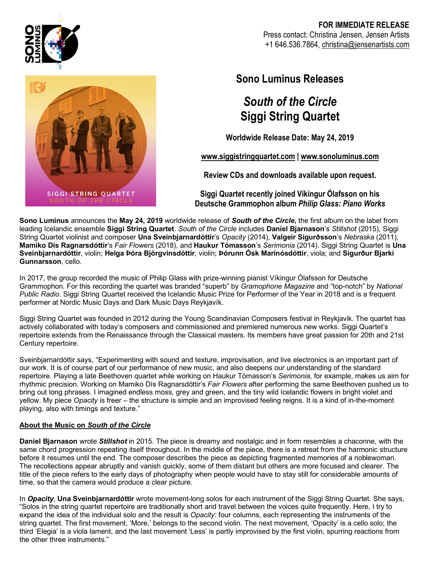

### **FOR IMMEDIATE RELEASE** Press contact: Christina Jensen, Jensen Artists +1 646.536.7864, christina@jensenartists.com



## **Sono Luminus Releases**

# *South of the Circle* **Siggi String Quartet**

**Worldwide Release Date: May 24, 2019**

**www.siggistringquartet.com | www.sonoluminus.com**

**Review CDs and downloads available upon request.** 

**Siggi Quartet recently joined Víkingur Ólafsson on his Deutsche Grammophon album** *Philip Glass: Piano Works*

**Sono Luminus** announces the **May 24, 2019** worldwide release of *South of the Circle***,** the first album on the label from leading Icelandic ensemble **Siggi String Quartet**. *South of the Circle* includes **Daníel Bjarnason**'s *Stillshot* (2015), Siggi String Quartet violinist and composer **Una Sveinbjarnardóttir**'s *Opacity* (2014), **Valgeir Sigurðsson**'s *Nebraska* (2011), **Mamiko Dís Ragnarsdóttir**'s *Fair Flowers* (2018), and **Haukur Tómasson**'s *Serimonia* (2014). Siggi String Quartet is **Una Sveinbjarnardóttir**, violin; **Helga Þóra Björgvinsdóttir**, violin; **Þórunn Ósk Marínósdóttir**, viola; and **Sigurður Bjarki Gunnarsson**, cello.

In 2017, the group recorded the music of Philip Glass with prize-winning pianist Víkingur Ólafsson for Deutsche Grammophon. For this recording the quartet was branded "superb" by *Gramophone Magazine* and "top-notch" by *National Public Radio*. Siggi String Quartet received the Icelandic Music Prize for Performer of the Year in 2018 and is a frequent performer at Nordic Music Days and Dark Music Days Reykjavík.

Siggi String Quartet was founded in 2012 during the Young Scandinavian Composers festival in Reykjavik. The quartet has actively collaborated with today's composers and commissioned and premiered numerous new works. Siggi Quartet's repertoire extends from the Renaissance through the Classical masters. Its members have great passion for 20th and 21st Century repertoire.

Sveinbjarnardóttir says, "Experimenting with sound and texture, improvisation, and live electronics is an important part of our work. It is of course part of our performance of new music, and also deepens our understanding of the standard repertoire. Playing a late Beethoven quartet while working on Haukur Tómasson's *Serimonia*, for example, makes us aim for rhythmic precision. Working on Mamiko Dís Ragnarsdóttir's *Fair Flowers* after performing the same Beethoven pushed us to bring out long phrases. I imagined endless moss, grey and green, and the tiny wild Icelandic flowers in bright violet and yellow. My piece *Opacity* is freer – the structure is simple and an improvised feeling reigns. It is a kind of in-the-moment playing, also with timings and texture."

### **About the Music on** *South of the Circle*

**Daníel Bjarnason** wrote *Stillshot* in 2015. The piece is dreamy and nostalgic and in form resembles a chaconne, with the same chord progression repeating itself throughout. In the middle of the piece, there is a retreat from the harmonic structure before it resumes until the end. The composer describes the piece as depicting fragmented memories of a noblewoman. The recollections appear abruptly and vanish quickly, some of them distant but others are more focused and clearer. The title of the piece refers to the early days of photography when people would have to stay still for considerable amounts of time, so that the camera would produce a clear picture.

In *Opacity*, **Una Sveinbjarnardóttir** wrote movement-long solos for each instrument of the Siggi String Quartet. She says, "Solos in the string quartet repertoire are traditionally short and travel between the voices quite frequently. Here, I try to expand the idea of the individual solo and the result is *Opacity*: four columns, each representing the instruments of the string quartet. The first movement, 'More,' belongs to the second violin. The next movement, 'Opacity' is a cello solo; the third 'Elegia' is a viola lament, and the last movement 'Less' is partly improvised by the first violin, spurring reactions from the other three instruments."